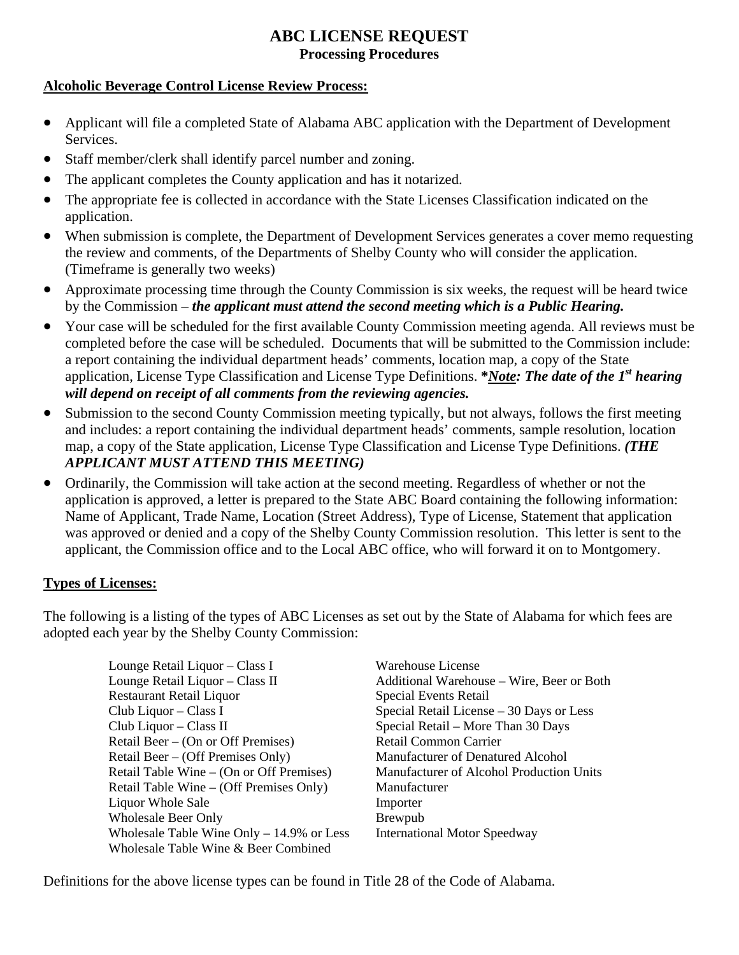### **ABC LICENSE REQUEST Processing Procedures**

#### **Alcoholic Beverage Control License Review Process:**

- Applicant will file a completed State of Alabama ABC application with the Department of Development Services.
- Staff member/clerk shall identify parcel number and zoning.
- The applicant completes the County application and has it notarized.
- $\bullet$ The appropriate fee is collected in accordance with the State Licenses Classification indicated on the application.
- When submission is complete, the Department of Development Services generates a cover memo requesting the review and comments, of the Departments of Shelby County who will consider the application. (Timeframe is generally two weeks)
- Approximate processing time through the County Commission is six weeks, the request will be heard twice by the Commission – *the applicant must attend the second meeting which is a Public Hearing.*
- Your case will be scheduled for the first available County Commission meeting agenda. All reviews must be completed before the case will be scheduled. Documents that will be submitted to the Commission include: a report containing the individual department heads' comments, location map, a copy of the State application, License Type Classification and License Type Definitions. **\****Note: The date of the 1st hearing will depend on receipt of all comments from the reviewing agencies.*
- $\bullet$ Submission to the second County Commission meeting typically, but not always, follows the first meeting and includes: a report containing the individual department heads' comments, sample resolution, location map, a copy of the State application, License Type Classification and License Type Definitions. *(THE APPLICANT MUST ATTEND THIS MEETING)*
- Ordinarily, the Commission will take action at the second meeting. Regardless of whether or not the application is approved, a letter is prepared to the State ABC Board containing the following information: Name of Applicant, Trade Name, Location (Street Address), Type of License, Statement that application was approved or denied and a copy of the Shelby County Commission resolution. This letter is sent to the applicant, the Commission office and to the Local ABC office, who will forward it on to Montgomery.

#### **Types of Licenses:**

The following is a listing of the types of ABC Licenses as set out by the State of Alabama for which fees are adopted each year by the Shelby County Commission:

> Lounge Retail Liquor – Class I Warehouse License Lounge Retail Liquor – Class II Additional Warehouse – Wire, Beer or Both Restaurant Retail Liquor Special Events Retail Club Liquor – Class I Special Retail License – 30 Days or Less<br>Club Liquor – Class II Special Retail – More Than 30 Days Retail Beer – (On or Off Premises) Retail Common Carrier Retail Beer – (Off Premises Only) Manufacturer of Denatured Alcohol Retail Table Wine – (On or Off Premises) Manufacturer of Alcohol Production Units Retail Table Wine – (Off Premises Only) Manufacturer Liquor Whole Sale Importer Wholesale Beer Only Brewpub Wholesale Table Wine Only  $-14.9\%$  or Less International Motor Speedway Wholesale Table Wine & Beer Combined

Special Retail – More Than 30 Days

Definitions for the above license types can be found in Title 28 of the Code of Alabama.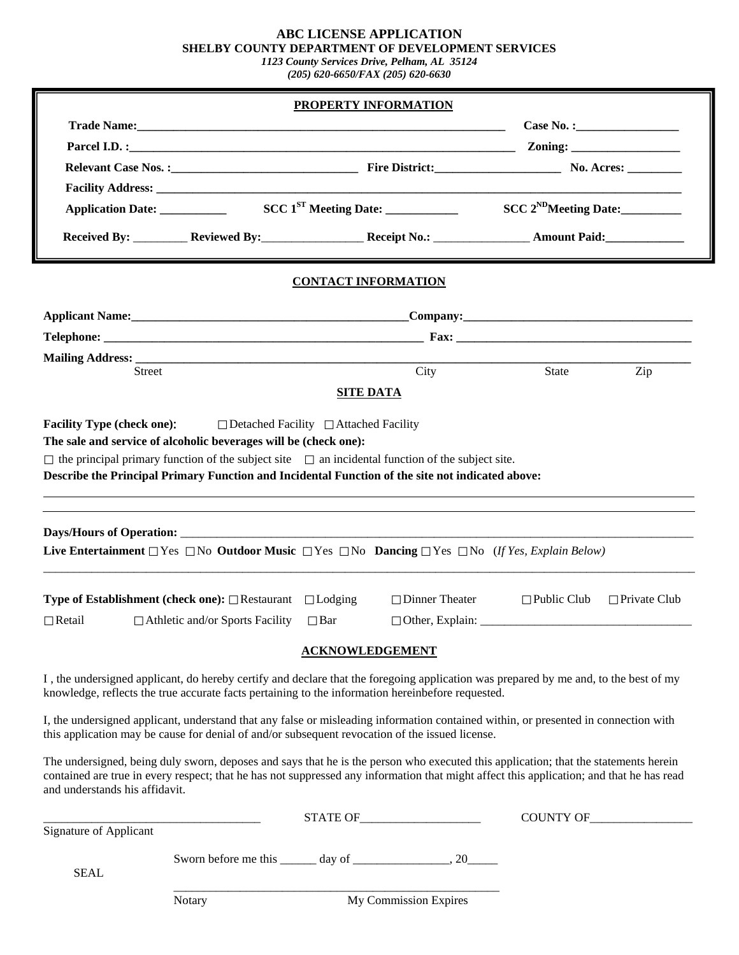#### **ABC LICENSE APPLICATION SHELBY COUNTY DEPARTMENT OF DEVELOPMENT SERVICES**

*1123 County Services Drive, Pelham, AL 35124 (205) 620-6650/FAX (205) 620-6630* 

|                                                                                                                                                                                                                                                                                                                   |                                                                                                                      |                  | PROPERTY INFORMATION                                              |                    |                     |  |  |
|-------------------------------------------------------------------------------------------------------------------------------------------------------------------------------------------------------------------------------------------------------------------------------------------------------------------|----------------------------------------------------------------------------------------------------------------------|------------------|-------------------------------------------------------------------|--------------------|---------------------|--|--|
|                                                                                                                                                                                                                                                                                                                   |                                                                                                                      |                  |                                                                   |                    |                     |  |  |
|                                                                                                                                                                                                                                                                                                                   |                                                                                                                      |                  |                                                                   |                    |                     |  |  |
|                                                                                                                                                                                                                                                                                                                   |                                                                                                                      |                  |                                                                   |                    |                     |  |  |
|                                                                                                                                                                                                                                                                                                                   |                                                                                                                      |                  |                                                                   |                    |                     |  |  |
|                                                                                                                                                                                                                                                                                                                   |                                                                                                                      |                  |                                                                   |                    |                     |  |  |
|                                                                                                                                                                                                                                                                                                                   | Received By: Reviewed By: Received By: Received By: Received By: Received By: Received By: Received By: Received By: |                  |                                                                   |                    |                     |  |  |
| <b>CONTACT INFORMATION</b>                                                                                                                                                                                                                                                                                        |                                                                                                                      |                  |                                                                   |                    |                     |  |  |
|                                                                                                                                                                                                                                                                                                                   |                                                                                                                      |                  |                                                                   |                    |                     |  |  |
|                                                                                                                                                                                                                                                                                                                   |                                                                                                                      |                  |                                                                   |                    |                     |  |  |
|                                                                                                                                                                                                                                                                                                                   |                                                                                                                      |                  |                                                                   |                    |                     |  |  |
| <b>Street</b>                                                                                                                                                                                                                                                                                                     |                                                                                                                      |                  | City                                                              | State              | Zip                 |  |  |
|                                                                                                                                                                                                                                                                                                                   |                                                                                                                      | <b>SITE DATA</b> |                                                                   |                    |                     |  |  |
| Describe the Principal Primary Function and Incidental Function of the site not indicated above:<br>Live Entertainment $\Box$ Yes $\Box$ No Outdoor Music $\Box$ Yes $\Box$ No Dancing $\Box$ Yes $\Box$ No (If Yes, Explain Below)                                                                               |                                                                                                                      |                  |                                                                   |                    |                     |  |  |
|                                                                                                                                                                                                                                                                                                                   | <b>Type of Establishment (check one):</b> $\Box$ Restaurant $\Box$ Lodging                                           |                  | $\Box$ Dinner Theater                                             | $\Box$ Public Club | $\Box$ Private Club |  |  |
| $\Box$ Retail                                                                                                                                                                                                                                                                                                     | $\Box$ Athletic and/or Sports Facility                                                                               | $\Box$ Bar       | $\Box$ Other, Explain: $\_\_\_\_\_\_\_\_\_\_\_\_\_\_\_\_\_\_\_\_$ |                    |                     |  |  |
| <b>ACKNOWLEDGEMENT</b>                                                                                                                                                                                                                                                                                            |                                                                                                                      |                  |                                                                   |                    |                     |  |  |
| I, the undersigned applicant, do hereby certify and declare that the foregoing application was prepared by me and, to the best of my<br>knowledge, reflects the true accurate facts pertaining to the information hereinbefore requested.                                                                         |                                                                                                                      |                  |                                                                   |                    |                     |  |  |
| I, the undersigned applicant, understand that any false or misleading information contained within, or presented in connection with<br>this application may be cause for denial of and/or subsequent revocation of the issued license.                                                                            |                                                                                                                      |                  |                                                                   |                    |                     |  |  |
| The undersigned, being duly sworn, deposes and says that he is the person who executed this application; that the statements herein<br>contained are true in every respect; that he has not suppressed any information that might affect this application; and that he has read<br>and understands his affidavit. |                                                                                                                      |                  |                                                                   |                    |                     |  |  |
|                                                                                                                                                                                                                                                                                                                   |                                                                                                                      |                  |                                                                   |                    | COUNTY OF           |  |  |
| Signature of Applicant                                                                                                                                                                                                                                                                                            |                                                                                                                      |                  |                                                                   |                    |                     |  |  |
| <b>SEAL</b>                                                                                                                                                                                                                                                                                                       |                                                                                                                      |                  |                                                                   |                    |                     |  |  |
|                                                                                                                                                                                                                                                                                                                   | Notary                                                                                                               |                  | My Commission Expires                                             |                    |                     |  |  |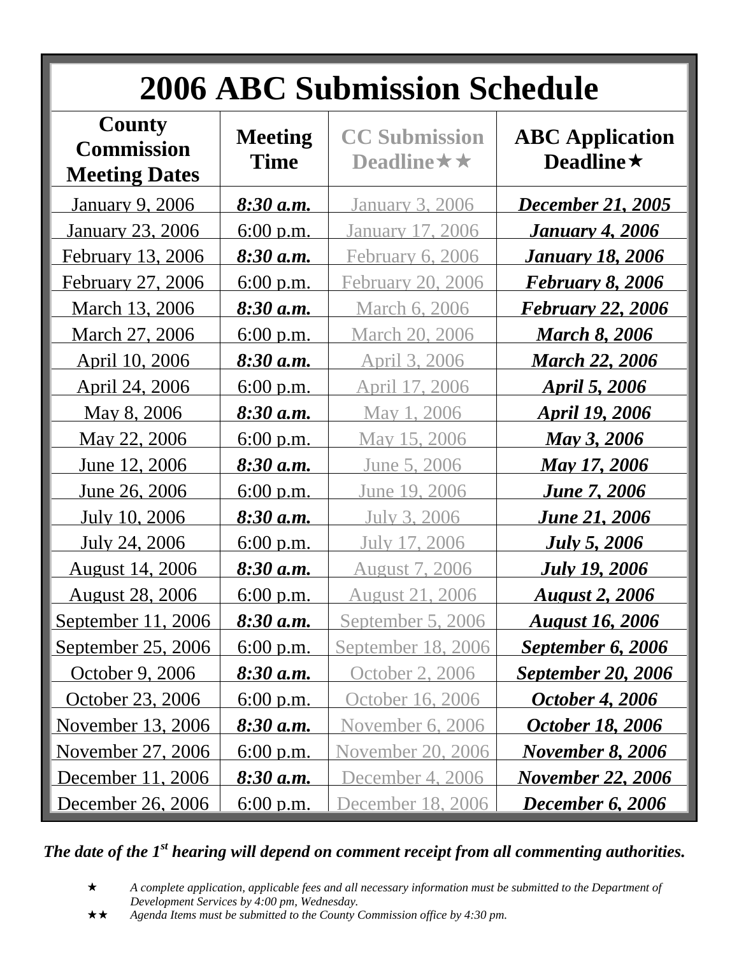| <b>2006 ABC Submission Schedule</b>                 |                        |                                                |                                            |  |  |  |
|-----------------------------------------------------|------------------------|------------------------------------------------|--------------------------------------------|--|--|--|
| County<br><b>Commission</b><br><b>Meeting Dates</b> | <b>Meeting</b><br>Time | <b>CC Submission</b><br>Deadline $\star \star$ | <b>ABC</b> Application<br>Deadline $\star$ |  |  |  |
| <b>January 9, 2006</b>                              | $8:30$ a.m.            | January 3, 2006                                | <b>December 21, 2005</b>                   |  |  |  |
| January 23, 2006                                    | $6:00$ p.m.            | January 17, 2006                               | <u>January 4, 2006</u>                     |  |  |  |
| February 13, 2006                                   | 8:30 a.m.              | February 6, 2006                               | <u>January 18, 2006</u>                    |  |  |  |
| February 27, 2006                                   | $6:00$ p.m.            | February 20, 2006                              | <u>February 8, 2006</u>                    |  |  |  |
| March 13, 2006                                      | 8:30 a.m.              | <u>March 6, 2006</u>                           | <u>February 22, 2006</u>                   |  |  |  |
| March 27, 2006                                      | 6:00 p.m.              | March 20, 2006                                 | <b>March 8, 2006</b>                       |  |  |  |
| April 10, 2006                                      | <u>8:30 a.m.</u>       | April 3, 2006                                  | <b>March 22, 2006</b>                      |  |  |  |
| <u>April 24, 2006</u>                               | $6:00$ p.m.            | April 17, 2006                                 | April 5, 2006                              |  |  |  |
| May 8, 2006                                         | 8:30 a.m.              | May 1, 2006                                    | <b>April 19, 2006</b>                      |  |  |  |
| May 22, 2006                                        | $6:00$ p.m.            | May 15, 2006                                   | <b>May 3, 2006</b>                         |  |  |  |
| June 12, 2006                                       | 8:30 a.m.              | June 5, 2006                                   | <b>May 17, 2006</b>                        |  |  |  |
| June 26, 2006                                       | $6:00$ p.m.            | June 19, 2006                                  | <u><b>June 7, 2006</b></u>                 |  |  |  |
| July 10, 2006                                       | <u>8:30 a.m.</u>       | July 3, 2006                                   | <u>June 21, 2006</u>                       |  |  |  |
| July 24, 2006                                       | $6:00$ p.m.            | July 17, 2006                                  | <b>July 5, 2006</b>                        |  |  |  |
| <u>August 14, 2006</u>                              | <u>8:30 a.m.</u>       | <b>August 7, 2006</b>                          | <u><b>July 19, 2006</b></u>                |  |  |  |
| <u>August 28, 2006</u>                              | 6:00 p.m.              | <u>August 21, 2006</u>                         | <b>August 2, 2006</b>                      |  |  |  |
| <u>September 11, 2006</u>                           | $8:30$ a.m.            | September 5, 2006                              | <u>August 16, 2006</u>                     |  |  |  |
| September 25, 2006                                  | $6:00$ p.m.            | September 18, 2006                             | September 6, 2006                          |  |  |  |
| October 9, 2006                                     | $8:30$ a.m.            | October 2, 2006                                | <b>September 20, 2006</b>                  |  |  |  |
| October 23, 2006                                    | $6:00$ p.m.            | October 16, 2006                               | <b>October 4, 2006</b>                     |  |  |  |
| November 13, 2006                                   | $8:30$ a.m.            | November 6, 2006                               | <u>October 18, 2006</u>                    |  |  |  |
| November 27, 2006                                   | $6:00$ p.m.            | November 20, 2006                              | <b>November 8, 2006</b>                    |  |  |  |
| December 11, 2006                                   | $8:30$ a.m.            | December 4, 2006                               | <b>November 22, 2006</b>                   |  |  |  |
| December 26, 2006                                   | $6:00$ p.m.            | December 18, 2006                              | <b>December 6, 2006</b>                    |  |  |  |

*The date of the 1st hearing will depend on comment receipt from all commenting authorities.* 

- *A complete application, applicable fees and all necessary information must be submitted to the Department of Development Services by 4:00 pm, Wednesday.*
- *Agenda Items must be submitted to the County Commission office by 4:30 pm.*